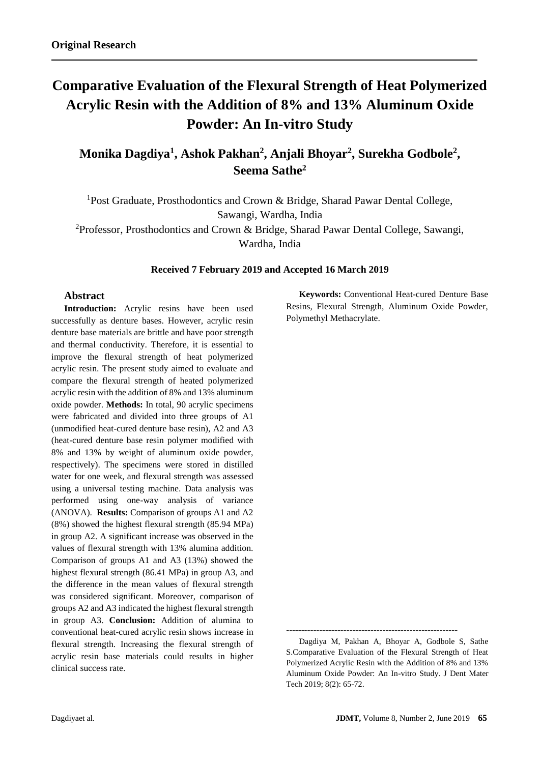# **Comparative Evaluation of the Flexural Strength of Heat Polymerized Acrylic Resin with the Addition of 8% and 13% Aluminum Oxide Powder: An In-vitro Study**

**Monika Dagdiya<sup>1</sup> , Ashok Pakhan<sup>2</sup> , Anjali Bhoyar<sup>2</sup> , Surekha Godbole<sup>2</sup> , Seema Sathe<sup>2</sup>**

<sup>1</sup>Post Graduate, Prosthodontics and Crown & Bridge, Sharad Pawar Dental College, Sawangi, Wardha, India <sup>2</sup>Professor, Prosthodontics and Crown & Bridge, Sharad Pawar Dental College, Sawangi, Wardha, India

# **Received 7 February 2019 and Accepted 16 March 2019**

# **Abstract**

**Introduction:** Acrylic resins have been used successfully as denture bases. However, acrylic resin denture base materials are brittle and have poor strength and thermal conductivity. Therefore, it is essential to improve the flexural strength of heat polymerized acrylic resin. The present study aimed to evaluate and compare the flexural strength of heated polymerized acrylic resin with the addition of 8% and 13% aluminum oxide powder. **Methods:** In total, 90 acrylic specimens were fabricated and divided into three groups of A1 (unmodified heat-cured denture base resin), A2 and A3 (heat-cured denture base resin polymer modified with 8% and 13% by weight of aluminum oxide powder, respectively). The specimens were stored in distilled water for one week, and flexural strength was assessed using a universal testing machine. Data analysis was performed using one-way analysis of variance (ANOVA). **Results:** Comparison of groups A1 and A2 (8%) showed the highest flexural strength (85.94 MPa) in group A2. A significant increase was observed in the values of flexural strength with 13% alumina addition. Comparison of groups A1 and A3 (13%) showed the highest flexural strength (86.41 MPa) in group A3, and the difference in the mean values of flexural strength was considered significant. Moreover, comparison of groups A2 and A3 indicated the highest flexural strength in group A3. **Conclusion:** Addition of alumina to conventional heat-cured acrylic resin shows increase in flexural strength. Increasing the flexural strength of acrylic resin base materials could results in higher clinical success rate.

**Keywords:** Conventional Heat-cured Denture Base Resins, Flexural Strength, Aluminum Oxide Powder, Polymethyl Methacrylate.

---------------------------------------------------------

Dagdiya M, Pakhan A, Bhoyar A, Godbole S, Sathe S.Comparative Evaluation of the Flexural Strength of Heat Polymerized Acrylic Resin with the Addition of 8% and 13% Aluminum Oxide Powder: An In-vitro Study. J Dent Mater Tech 2019; 8(2): 65-72.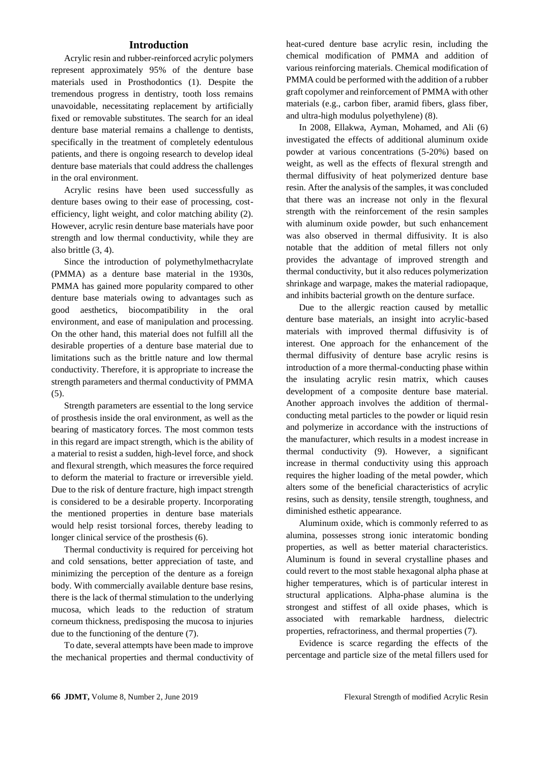# **Introduction**

Acrylic resin and rubber-reinforced acrylic polymers represent approximately 95% of the denture base materials used in Prosthodontics (1). Despite the tremendous progress in dentistry, tooth loss remains unavoidable, necessitating replacement by artificially fixed or removable substitutes. The search for an ideal denture base material remains a challenge to dentists, specifically in the treatment of completely edentulous patients, and there is ongoing research to develop ideal denture base materials that could address the challenges in the oral environment.

Acrylic resins have been used successfully as denture bases owing to their ease of processing, costefficiency, light weight, and color matching ability (2). However, acrylic resin denture base materials have poor strength and low thermal conductivity, while they are also brittle (3, 4).

Since the introduction of polymethylmethacrylate (PMMA) as a denture base material in the 1930s, PMMA has gained more popularity compared to other denture base materials owing to advantages such as good aesthetics, biocompatibility in the oral environment, and ease of manipulation and processing. On the other hand, this material does not fulfill all the desirable properties of a denture base material due to limitations such as the brittle nature and low thermal conductivity. Therefore, it is appropriate to increase the strength parameters and thermal conductivity of PMMA (5).

Strength parameters are essential to the long service of prosthesis inside the oral environment, as well as the bearing of masticatory forces. The most common tests in this regard are impact strength, which is the ability of a material to resist a sudden, high-level force, and shock and flexural strength, which measures the force required to deform the material to fracture or irreversible yield. Due to the risk of denture fracture, high impact strength is considered to be a desirable property. Incorporating the mentioned properties in denture base materials would help resist torsional forces, thereby leading to longer clinical service of the prosthesis (6).

Thermal conductivity is required for perceiving hot and cold sensations, better appreciation of taste, and minimizing the perception of the denture as a foreign body. With commercially available denture base resins, there is the lack of thermal stimulation to the underlying mucosa, which leads to the reduction of stratum corneum thickness, predisposing the mucosa to injuries due to the functioning of the denture (7).

To date, several attempts have been made to improve the mechanical properties and thermal conductivity of heat-cured denture base acrylic resin, including the chemical modification of PMMA and addition of various reinforcing materials. Chemical modification of PMMA could be performed with the addition of a rubber graft copolymer and reinforcement of PMMA with other materials (e.g., carbon fiber, aramid fibers, glass fiber, and ultra-high modulus polyethylene) (8).

In 2008, Ellakwa, Ayman, Mohamed, and Ali (6) investigated the effects of additional aluminum oxide powder at various concentrations (5-20%) based on weight, as well as the effects of flexural strength and thermal diffusivity of heat polymerized denture base resin. After the analysis of the samples, it was concluded that there was an increase not only in the flexural strength with the reinforcement of the resin samples with aluminum oxide powder, but such enhancement was also observed in thermal diffusivity. It is also notable that the addition of metal fillers not only provides the advantage of improved strength and thermal conductivity, but it also reduces polymerization shrinkage and warpage, makes the material radiopaque, and inhibits bacterial growth on the denture surface.

Due to the allergic reaction caused by metallic denture base materials, an insight into acrylic-based materials with improved thermal diffusivity is of interest. One approach for the enhancement of the thermal diffusivity of denture base acrylic resins is introduction of a more thermal-conducting phase within the insulating acrylic resin matrix, which causes development of a composite denture base material. Another approach involves the addition of thermalconducting metal particles to the powder or liquid resin and polymerize in accordance with the instructions of the manufacturer, which results in a modest increase in thermal conductivity (9). However, a significant increase in thermal conductivity using this approach requires the higher loading of the metal powder, which alters some of the beneficial characteristics of acrylic resins, such as density, tensile strength, toughness, and diminished esthetic appearance.

Aluminum oxide, which is commonly referred to as alumina, possesses strong ionic interatomic bonding properties, as well as better material characteristics. Aluminum is found in several crystalline phases and could revert to the most stable hexagonal alpha phase at higher temperatures, which is of particular interest in structural applications. Alpha-phase alumina is the strongest and stiffest of all oxide phases, which is associated with remarkable hardness, dielectric properties, refractoriness, and thermal properties (7).

Evidence is scarce regarding the effects of the percentage and particle size of the metal fillers used for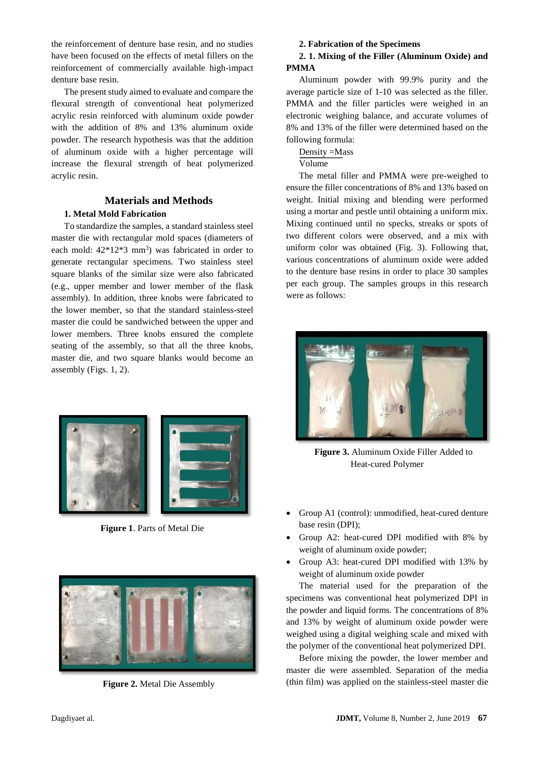the reinforcement of denture base resin, and no studies have been focused on the effects of metal fillers on the reinforcement of commercially available high-impact denture base resin.

The present study aimed to evaluate and compare the flexural strength of conventional heat polymerized acrylic resin reinforced with aluminum oxide powder with the addition of 8% and 13% aluminum oxide powder. The research hypothesis was that the addition of aluminum oxide with a higher percentage will increase the flexural strength of heat polymerized acrylic resin.

# **Materials and Methods**

# **1. Metal Mold Fabrication**

To standardize the samples, a standard stainless steel master die with rectangular mold spaces (diameters of each mold:  $42*12*3$  mm<sup>3</sup>) was fabricated in order to generate rectangular specimens. Two stainless steel square blanks of the similar size were also fabricated (e.g., upper member and lower member of the flask assembly). In addition, three knobs were fabricated to the lower member, so that the standard stainless-steel master die could be sandwiched between the upper and lower members. Three knobs ensured the complete seating of the assembly, so that all the three knobs, master die, and two square blanks would become an assembly (Figs. 1, 2).



**Figure 1**. Parts of Metal Die



**Figure 2.** Metal Die Assembly

# **2. Fabrication of the Specimens**

# **2. 1. Mixing of the Filler (Aluminum Oxide) and PMMA**

Aluminum powder with 99.9% purity and the average particle size of 1-10 was selected as the filler. PMMA and the filler particles were weighed in an electronic weighing balance, and accurate volumes of 8% and 13% of the filler were determined based on the following formula:

# Density =Mass

Volume

The metal filler and PMMA were pre-weighed to ensure the filler concentrations of 8% and 13% based on weight. Initial mixing and blending were performed using a mortar and pestle until obtaining a uniform mix. Mixing continued until no specks, streaks or spots of two different colors were observed, and a mix with uniform color was obtained (Fig. 3). Following that, various concentrations of aluminum oxide were added to the denture base resins in order to place 30 samples per each group. The samples groups in this research were as follows:



**Figure 3.** Aluminum Oxide Filler Added to Heat-cured Polymer

- Group A1 (control): unmodified, heat-cured denture base resin (DPI);
- Group A2: heat-cured DPI modified with 8% by weight of aluminum oxide powder;
- Group A3: heat-cured DPI modified with 13% by weight of aluminum oxide powder

The material used for the preparation of the specimens was conventional heat polymerized DPI in the powder and liquid forms. The concentrations of 8% and 13% by weight of aluminum oxide powder were weighed using a digital weighing scale and mixed with the polymer of the conventional heat polymerized DPI.

Before mixing the powder, the lower member and master die were assembled. Separation of the media (thin film) was applied on the stainless-steel master die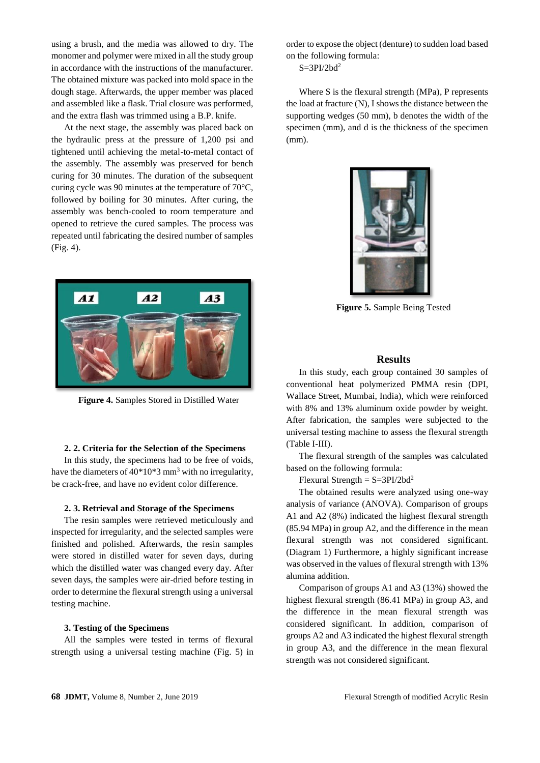using a brush, and the media was allowed to dry. The monomer and polymer were mixed in all the study group in accordance with the instructions of the manufacturer. The obtained mixture was packed into mold space in the dough stage. Afterwards, the upper member was placed and assembled like a flask. Trial closure was performed, and the extra flash was trimmed using a B.P. knife.

At the next stage, the assembly was placed back on the hydraulic press at the pressure of 1,200 psi and tightened until achieving the metal-to-metal contact of the assembly. The assembly was preserved for bench curing for 30 minutes. The duration of the subsequent curing cycle was 90 minutes at the temperature of 70°C, followed by boiling for 30 minutes. After curing, the assembly was bench-cooled to room temperature and opened to retrieve the cured samples. The process was repeated until fabricating the desired number of samples (Fig. 4).



**Figure 4.** Samples Stored in Distilled Water

#### **2. 2. Criteria for the Selection of the Specimens**

In this study, the specimens had to be free of voids, have the diameters of  $40*10*3$  mm<sup>3</sup> with no irregularity, be crack-free, and have no evident color difference.

#### **2. 3. Retrieval and Storage of the Specimens**

The resin samples were retrieved meticulously and inspected for irregularity, and the selected samples were finished and polished. Afterwards, the resin samples were stored in distilled water for seven days, during which the distilled water was changed every day. After seven days, the samples were air-dried before testing in order to determine the flexural strength using a universal testing machine.

# **3. Testing of the Specimens**

All the samples were tested in terms of flexural strength using a universal testing machine (Fig. 5) in order to expose the object (denture) to sudden load based on the following formula:

 $S = 3PI/2bd<sup>2</sup>$ 

Where S is the flexural strength (MPa), P represents the load at fracture (N), I shows the distance between the supporting wedges (50 mm), b denotes the width of the specimen (mm), and d is the thickness of the specimen (mm).



**Figure 5.** Sample Being Tested

#### **Results**

In this study, each group contained 30 samples of conventional heat polymerized PMMA resin (DPI, Wallace Street, Mumbai, India), which were reinforced with 8% and 13% aluminum oxide powder by weight. After fabrication, the samples were subjected to the universal testing machine to assess the flexural strength (Table I-III).

The flexural strength of the samples was calculated based on the following formula:

 $F$ lexural Strength =  $S = 3PI/2bd^2$ 

The obtained results were analyzed using one-way analysis of variance (ANOVA). Comparison of groups A1 and A2 (8%) indicated the highest flexural strength (85.94 MPa) in group A2, and the difference in the mean flexural strength was not considered significant. (Diagram 1) Furthermore, a highly significant increase was observed in the values of flexural strength with 13% alumina addition.

Comparison of groups A1 and A3 (13%) showed the highest flexural strength (86.41 MPa) in group A3, and the difference in the mean flexural strength was considered significant. In addition, comparison of groups A2 and A3 indicated the highest flexural strength in group A3, and the difference in the mean flexural strength was not considered significant.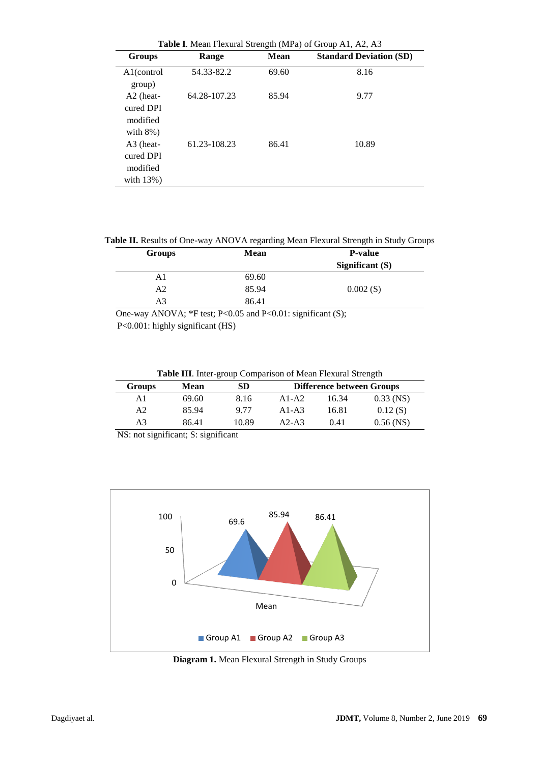| Groups                                               | Range        | <b>Mean</b> | <b>Standard Deviation (SD)</b> |
|------------------------------------------------------|--------------|-------------|--------------------------------|
| A1(control<br>group)                                 | 54.33-82.2   | 69.60       | 8.16                           |
| $A2$ (heat-<br>cured DPI<br>modified<br>with $8\%$ ) | 64.28-107.23 | 85.94       | 9.77                           |
| A3 (heat-<br>cured DPI<br>modified<br>with $13\%$ )  | 61.23-108.23 | 86.41       | 10.89                          |

**Table II.** Results of One-way ANOVA regarding Mean Flexural Strength in Study Groups

| <b>Groups</b>  | <b>Mean</b> | <b>P-value</b>    |  |
|----------------|-------------|-------------------|--|
|                |             | Significant $(S)$ |  |
| A1             | 69.60       |                   |  |
| A <sub>2</sub> | 85.94       | 0.002(S)          |  |
| A3             | 86.41       |                   |  |
|                |             |                   |  |

 One-way ANOVA; \*F test; P<0.05 and P<0.01: significant (S); P<0.001: highly significant (HS)

**Table III**. Inter-group Comparison of Mean Flexural Strength

| <b>Groups</b> | Mean  | SD    | <b>Difference between Groups</b> |       |             |  |
|---------------|-------|-------|----------------------------------|-------|-------------|--|
| A1            | 69.60 | 8.16  | $A1-A2$                          | 16.34 | $0.33$ (NS) |  |
| A2            | 85.94 | 9.77  | $A1-A3$                          | 16.81 | 0.12(S)     |  |
| A3            | 86.41 | 10.89 | $A2-A3$                          | 0.41  | $0.56$ (NS) |  |
|               |       |       |                                  |       |             |  |

NS: not significant; S: significant



**Diagram 1.** Mean Flexural Strength in Study Groups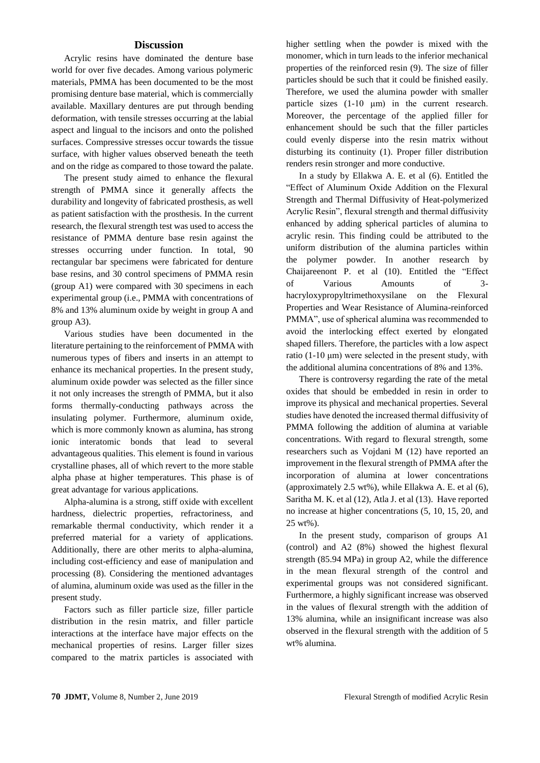# **Discussion**

Acrylic resins have dominated the denture base world for over five decades. Among various polymeric materials, PMMA has been documented to be the most promising denture base material, which is commercially available. Maxillary dentures are put through bending deformation, with tensile stresses occurring at the labial aspect and lingual to the incisors and onto the polished surfaces. Compressive stresses occur towards the tissue surface, with higher values observed beneath the teeth and on the ridge as compared to those toward the palate.

The present study aimed to enhance the flexural strength of PMMA since it generally affects the durability and longevity of fabricated prosthesis, as well as patient satisfaction with the prosthesis. In the current research, the flexural strength test was used to access the resistance of PMMA denture base resin against the stresses occurring under function. In total, 90 rectangular bar specimens were fabricated for denture base resins, and 30 control specimens of PMMA resin (group A1) were compared with 30 specimens in each experimental group (i.e., PMMA with concentrations of 8% and 13% aluminum oxide by weight in group A and group A3).

Various studies have been documented in the literature pertaining to the reinforcement of PMMA with numerous types of fibers and inserts in an attempt to enhance its mechanical properties. In the present study, aluminum oxide powder was selected as the filler since it not only increases the strength of PMMA, but it also forms thermally-conducting pathways across the insulating polymer. Furthermore, aluminum oxide, which is more commonly known as alumina, has strong ionic interatomic bonds that lead to several advantageous qualities. This element is found in various crystalline phases, all of which revert to the more stable alpha phase at higher temperatures. This phase is of great advantage for various applications.

Alpha-alumina is a strong, stiff oxide with excellent hardness, dielectric properties, refractoriness, and remarkable thermal conductivity, which render it a preferred material for a variety of applications. Additionally, there are other merits to alpha-alumina, including cost-efficiency and ease of manipulation and processing (8). Considering the mentioned advantages of alumina, aluminum oxide was used as the filler in the present study.

Factors such as filler particle size, filler particle distribution in the resin matrix, and filler particle interactions at the interface have major effects on the mechanical properties of resins. Larger filler sizes compared to the matrix particles is associated with higher settling when the powder is mixed with the monomer, which in turn leads to the inferior mechanical properties of the reinforced resin (9). The size of filler particles should be such that it could be finished easily. Therefore, we used the alumina powder with smaller particle sizes (1-10 μm) in the current research. Moreover, the percentage of the applied filler for enhancement should be such that the filler particles could evenly disperse into the resin matrix without disturbing its continuity (1). Proper filler distribution renders resin stronger and more conductive.

In a study by Ellakwa A. E. et al (6). Entitled the "Effect of Aluminum Oxide Addition on the Flexural Strength and Thermal Diffusivity of Heat-polymerized Acrylic Resin", flexural strength and thermal diffusivity enhanced by adding spherical particles of alumina to acrylic resin. This finding could be attributed to the uniform distribution of the alumina particles within the polymer powder. In another research by Chaijareenont P. et al (10). Entitled the "Effect of Various Amounts of 3 hacryloxypropyltrimethoxysilane on the Flexural Properties and Wear Resistance of Alumina-reinforced PMMA", use of spherical alumina was recommended to avoid the interlocking effect exerted by elongated shaped fillers. Therefore, the particles with a low aspect ratio  $(1-10 \mu m)$  were selected in the present study, with the additional alumina concentrations of 8% and 13%.

There is controversy regarding the rate of the metal oxides that should be embedded in resin in order to improve its physical and mechanical properties. Several studies have denoted the increased thermal diffusivity of PMMA following the addition of alumina at variable concentrations. With regard to flexural strength, some researchers such as Vojdani M (12) have reported an improvement in the flexural strength of PMMA after the incorporation of alumina at lower concentrations (approximately 2.5 wt%), while Ellakwa A. E. et al (6), Saritha M. K. et al (12), Atla J. et al (13). Have reported no increase at higher concentrations (5, 10, 15, 20, and 25 wt%).

In the present study, comparison of groups A1 (control) and A2 (8%) showed the highest flexural strength (85.94 MPa) in group A2, while the difference in the mean flexural strength of the control and experimental groups was not considered significant. Furthermore, a highly significant increase was observed in the values of flexural strength with the addition of 13% alumina, while an insignificant increase was also observed in the flexural strength with the addition of 5 wt% alumina.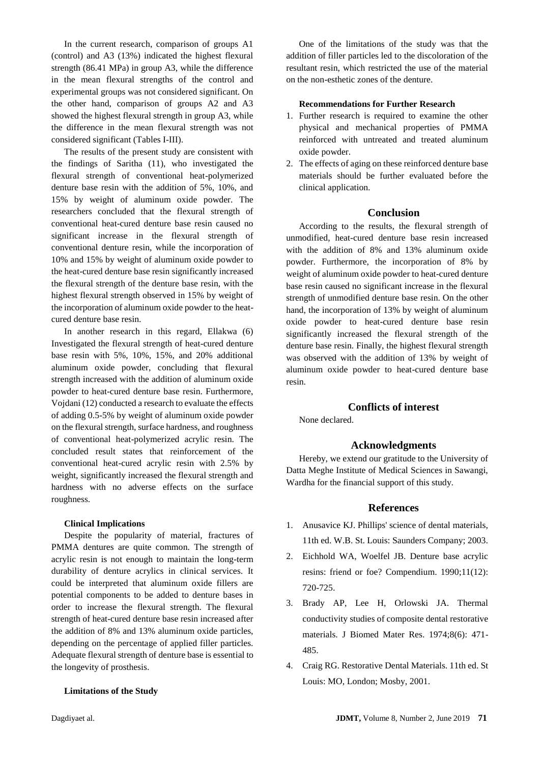In the current research, comparison of groups A1 (control) and A3 (13%) indicated the highest flexural strength (86.41 MPa) in group A3, while the difference in the mean flexural strengths of the control and experimental groups was not considered significant. On the other hand, comparison of groups A2 and A3 showed the highest flexural strength in group A3, while the difference in the mean flexural strength was not considered significant (Tables I-III).

The results of the present study are consistent with the findings of Saritha (11), who investigated the flexural strength of conventional heat-polymerized denture base resin with the addition of 5%, 10%, and 15% by weight of aluminum oxide powder. The researchers concluded that the flexural strength of conventional heat-cured denture base resin caused no significant increase in the flexural strength of conventional denture resin, while the incorporation of 10% and 15% by weight of aluminum oxide powder to the heat-cured denture base resin significantly increased the flexural strength of the denture base resin, with the highest flexural strength observed in 15% by weight of the incorporation of aluminum oxide powder to the heatcured denture base resin.

In another research in this regard, Ellakwa (6) Investigated the flexural strength of heat-cured denture base resin with 5%, 10%, 15%, and 20% additional aluminum oxide powder, concluding that flexural strength increased with the addition of aluminum oxide powder to heat-cured denture base resin. Furthermore, Vojdani (12) conducted a research to evaluate the effects of adding 0.5-5% by weight of aluminum oxide powder on the flexural strength, surface hardness, and roughness of conventional heat-polymerized acrylic resin. The concluded result states that reinforcement of the conventional heat-cured acrylic resin with 2.5% by weight, significantly increased the flexural strength and hardness with no adverse effects on the surface roughness.

## **Clinical Implications**

Despite the popularity of material, fractures of PMMA dentures are quite common. The strength of acrylic resin is not enough to maintain the long-term durability of denture acrylics in clinical services. It could be interpreted that aluminum oxide fillers are potential components to be added to denture bases in order to increase the flexural strength. The flexural strength of heat-cured denture base resin increased after the addition of 8% and 13% aluminum oxide particles, depending on the percentage of applied filler particles. Adequate flexural strength of denture base is essential to the longevity of prosthesis.

## **Limitations of the Study**

One of the limitations of the study was that the addition of filler particles led to the discoloration of the resultant resin, which restricted the use of the material on the non-esthetic zones of the denture.

## **Recommendations for Further Research**

- 1. Further research is required to examine the other physical and mechanical properties of PMMA reinforced with untreated and treated aluminum oxide powder.
- 2. The effects of aging on these reinforced denture base materials should be further evaluated before the clinical application.

# **Conclusion**

According to the results, the flexural strength of unmodified, heat-cured denture base resin increased with the addition of 8% and 13% aluminum oxide powder. Furthermore, the incorporation of 8% by weight of aluminum oxide powder to heat-cured denture base resin caused no significant increase in the flexural strength of unmodified denture base resin. On the other hand, the incorporation of 13% by weight of aluminum oxide powder to heat-cured denture base resin significantly increased the flexural strength of the denture base resin. Finally, the highest flexural strength was observed with the addition of 13% by weight of aluminum oxide powder to heat-cured denture base resin.

# **[Conflicts of interest](http://jdmt.mums.ac.ir/manager?_action=journal#Conflict)**

None declared.

## **Acknowledgments**

Hereby, we extend our gratitude to the University of Datta Meghe Institute of Medical Sciences in Sawangi, Wardha for the financial support of this study.

## **References**

- 1. Anusavice KJ. Phillips' science of dental materials, 11th ed. W.B. St. Louis: Saunders Company; 2003.
- 2. Eichhold WA, Woelfel JB. Denture base acrylic resins: friend or foe? Compendium. 1990;11(12): 720-725.
- 3. Brady AP, Lee H, Orlowski JA. Thermal conductivity studies of composite dental restorative materials. J Biomed Mater Res. 1974;8(6): 471- 485.
- 4. Craig RG. Restorative Dental Materials. 11th ed. St Louis: MO, London; Mosby, 2001.